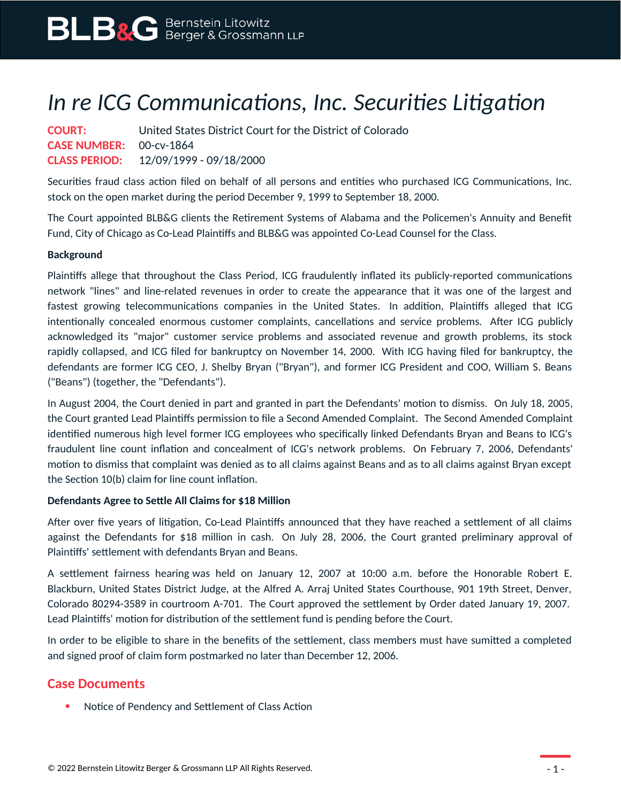## *In re ICG Communications, Inc. Securities Litigation*

| <b>COURT:</b>                  | United States District Court for the District of Colorado |
|--------------------------------|-----------------------------------------------------------|
| <b>CASE NUMBER: 00-cv-1864</b> |                                                           |
|                                | <b>CLASS PERIOD:</b> 12/09/1999 - 09/18/2000              |

Securities fraud class action filed on behalf of all persons and entities who purchased ICG Communications, Inc. stock on the open market during the period December 9, 1999 to September 18, 2000.

The Court appointed BLB&G clients the Retirement Systems of Alabama and the Policemen's Annuity and Benefit Fund, City of Chicago as Co-Lead Plaintiffs and BLB&G was appointed Co-Lead Counsel for the Class.

## **Background**

Plaintiffs allege that throughout the Class Period, ICG fraudulently inflated its publicly-reported communications network "lines" and line-related revenues in order to create the appearance that it was one of the largest and fastest growing telecommunications companies in the United States. In addition, Plaintiffs alleged that ICG intentionally concealed enormous customer complaints, cancellations and service problems. After ICG publicly acknowledged its "major" customer service problems and associated revenue and growth problems, its stock rapidly collapsed, and ICG filed for bankruptcy on November 14, 2000. With ICG having filed for bankruptcy, the defendants are former ICG CEO, J. Shelby Bryan ("Bryan"), and former ICG President and COO, William S. Beans ("Beans") (together, the "Defendants").

In August 2004, the Court denied in part and granted in part the Defendants' motion to dismiss. On July 18, 2005, the Court granted Lead Plaintiffs permission to file a Second Amended Complaint. The Second Amended Complaint identified numerous high level former ICG employees who specifically linked Defendants Bryan and Beans to ICG's fraudulent line count inflation and concealment of ICG's network problems. On February 7, 2006, Defendants' motion to dismiss that complaint was denied as to all claims against Beans and as to all claims against Bryan except the Section 10(b) claim for line count inflation.

## **Defendants Agree to Settle All Claims for \$18 Million**

After over five years of litigation, Co-Lead Plaintiffs announced that they have reached a settlement of all claims against the Defendants for \$18 million in cash. On July 28, 2006, the Court granted preliminary approval of Plaintiffs' settlement with defendants Bryan and Beans.

A settlement fairness hearing was held on January 12, 2007 at 10:00 a.m. before the Honorable Robert E. Blackburn, United States District Judge, at the Alfred A. Arraj United States Courthouse, 901 19th Street, Denver, Colorado 80294-3589 in courtroom A-701. The Court approved the settlement by Order dated January 19, 2007. Lead Plaintiffs' motion for distribution of the settlement fund is pending before the Court.

In order to be eligible to share in the benefits of the settlement, class members must have sumitted a completed and signed proof of claim form postmarked no later than December 12, 2006.

## **Case Documents**

• Notice of Pendency and Settlement of Class Action